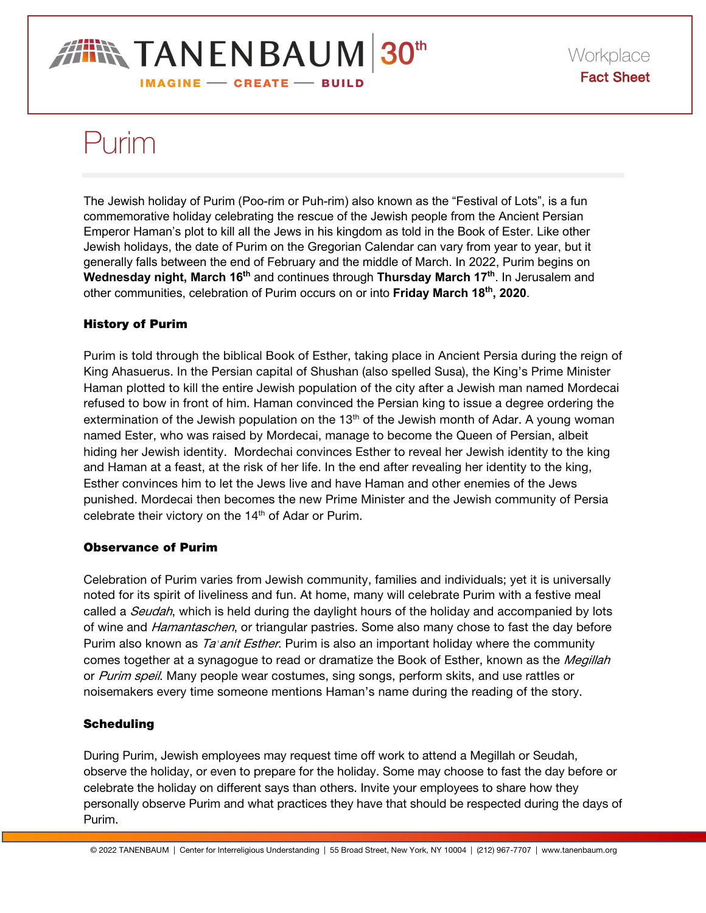## **IN TANENBAUM 30th IMAGINE - CREATE - BUILD**

# Purim

The Jewish holiday of Purim (Poo-rim or Puh-rim) also known as the "Festival of Lots", is a fun commemorative holiday celebrating the rescue of the Jewish people from the Ancient Persian Emperor Haman's plot to kill all the Jews in his kingdom as told in the Book of Ester. Like other Jewish holidays, the date of Purim on the Gregorian Calendar can vary from year to year, but it generally falls between the end of February and the middle of March. In 2022, Purim begins on Wednesday night, March 16<sup>th</sup> and continues through **Thursday March 17<sup>th</sup>**. In Jerusalem and other communities, celebration of Purim occurs on or into **Friday March 18th, 2020**.

### History of Purim

Purim is told through the biblical Book of Esther, taking place in Ancient Persia during the reign of King Ahasuerus. In the Persian capital of Shushan (also spelled Susa), the King's Prime Minister Haman plotted to kill the entire Jewish population of the city after a Jewish man named Mordecai refused to bow in front of him. Haman convinced the Persian king to issue a degree ordering the extermination of the Jewish population on the  $13<sup>th</sup>$  of the Jewish month of Adar. A young woman named Ester, who was raised by Mordecai, manage to become the Queen of Persian, albeit hiding her Jewish identity. Mordechai convinces Esther to reveal her Jewish identity to the king and Haman at a feast, at the risk of her life. In the end after revealing her identity to the king, Esther convinces him to let the Jews live and have Haman and other enemies of the Jews punished. Mordecai then becomes the new Prime Minister and the Jewish community of Persia celebrate their victory on the 14<sup>th</sup> of Adar or Purim.

#### Observance of Purim

Celebration of Purim varies from Jewish community, families and individuals; yet it is universally noted for its spirit of liveliness and fun. At home, many will celebrate Purim with a festive meal called a *Seudah*, which is held during the daylight hours of the holiday and accompanied by lots of wine and *Hamantaschen*, or triangular pastries. Some also many chose to fast the day before Purim also known as Ta*ʿ*anit Esther. Purim is also an important holiday where the community comes together at a synagogue to read or dramatize the Book of Esther, known as the Megillah or Purim speil. Many people wear costumes, sing songs, perform skits, and use rattles or noisemakers every time someone mentions Haman's name during the reading of the story.

#### **Scheduling**

During Purim, Jewish employees may request time off work to attend a Megillah or Seudah, observe the holiday, or even to prepare for the holiday. Some may choose to fast the day before or celebrate the holiday on different says than others. Invite your employees to share how they personally observe Purim and what practices they have that should be respected during the days of Purim.

© 2022 TANENBAUM | Center for Interreligious Understanding | 55 Broad Street, New York, NY 10004 | (212) 967-7707 | www.tanenbaum.org